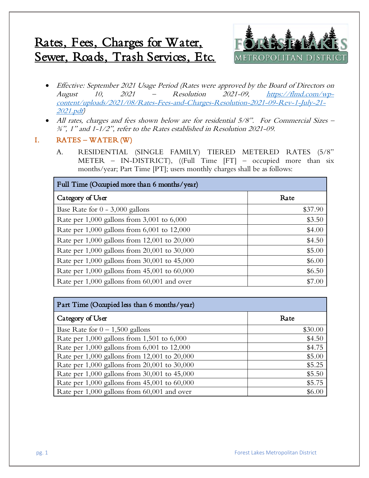# Rates, Fees, Charges for Water, Sewer, Roads, Trash Services, Etc.



- Effective: September 2021 Usage Period (Rates were approved by the Board of Directors on August 10,  $2021 -$  Resolution  $2021-09$ ,  $\frac{https://flmd.com/wp-}{https://flmd.com/wp-}$ [content/uploads/2021/08/Rates-Fees-and-Charges-Resolution-2021-09-Rev-1-July-21-](https://flmd.com/wp-content/uploads/2021/08/Rates-Fees-and-Charges-Resolution-2021-09-Rev-1-July-21-2021.pdf) [2021.pdf\)](https://flmd.com/wp-content/uploads/2021/08/Rates-Fees-and-Charges-Resolution-2021-09-Rev-1-July-21-2021.pdf)
- All rates, charges and fees shown below are for residential 5/8". For Commercial Sizes ¾", 1" and 1-1/2", refer to the Rates established in Resolution 2021-09.

# I. RATES – WATER (W)

A. RESIDENTIAL (SINGLE FAMILY) TIERED METERED RATES (5/8" METER – IN-DISTRICT), ((Full Time [FT] – occupied more than six months/year; Part Time [PT]; users monthly charges shall be as follows:

| Full Time (Occupied more than 6 months/year)       |         |
|----------------------------------------------------|---------|
| Category of User                                   | Rate    |
| Base Rate for $0 - 3,000$ gallons                  | \$37.90 |
| Rate per $1,000$ gallons from $3,001$ to $6,000$   | \$3.50  |
| Rate per $1,000$ gallons from $6,001$ to $12,000$  | \$4.00  |
| Rate per 1,000 gallons from 12,001 to 20,000       | \$4.50  |
| Rate per 1,000 gallons from 20,001 to 30,000       | \$5.00  |
| Rate per 1,000 gallons from 30,001 to 45,000       | \$6.00  |
| Rate per $1,000$ gallons from $45,001$ to $60,000$ | \$6.50  |
| Rate per 1,000 gallons from 60,001 and over        | \$7.00  |

| Part Time (Occupied less than 6 months/year)      |         |
|---------------------------------------------------|---------|
| Category of User                                  | Rate    |
| Base Rate for $0 - 1,500$ gallons                 | \$30.00 |
| Rate per 1,000 gallons from 1,501 to 6,000        | \$4.50  |
| Rate per $1,000$ gallons from $6,001$ to $12,000$ | \$4.75  |
| Rate per 1,000 gallons from 12,001 to 20,000      | \$5.00  |
| Rate per 1,000 gallons from 20,001 to 30,000      | \$5.25  |
| Rate per 1,000 gallons from 30,001 to 45,000      | \$5.50  |
| Rate per 1,000 gallons from 45,001 to 60,000      | \$5.75  |
| Rate per 1,000 gallons from 60,001 and over       | \$6.00  |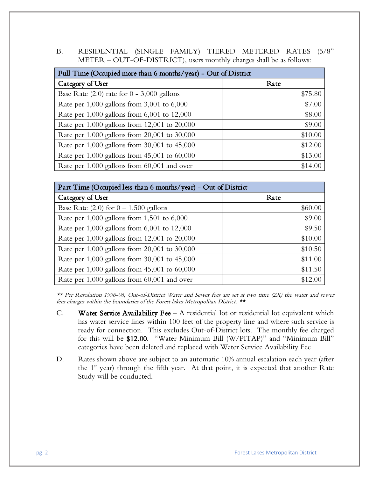B. RESIDENTIAL (SINGLE FAMILY) TIERED METERED RATES (5/8" METER – OUT-OF-DISTRICT), users monthly charges shall be as follows:

| Full Time (Occupied more than 6 months/year) - Out of District |         |
|----------------------------------------------------------------|---------|
| Category of User                                               | Rate    |
| Base Rate $(2.0)$ rate for $0 - 3,000$ gallons                 | \$75.80 |
| Rate per $1,000$ gallons from $3,001$ to $6,000$               | \$7.00  |
| Rate per $1,000$ gallons from $6,001$ to $12,000$              | \$8.00  |
| Rate per 1,000 gallons from 12,001 to 20,000                   | \$9.00  |
| Rate per 1,000 gallons from 20,001 to 30,000                   | \$10.00 |
| Rate per 1,000 gallons from 30,001 to 45,000                   | \$12.00 |
| Rate per $1,000$ gallons from $45,001$ to $60,000$             | \$13.00 |
| Rate per 1,000 gallons from 60,001 and over                    | \$14.00 |

| Part Time (Occupied less than 6 months/year) - Out of District |         |
|----------------------------------------------------------------|---------|
| Category of User                                               | Rate    |
| Base Rate (2.0) for $0 - 1,500$ gallons                        | \$60.00 |
| Rate per $1,000$ gallons from $1,501$ to $6,000$               | \$9.00  |
| Rate per $1,000$ gallons from $6,001$ to $12,000$              | \$9.50  |
| Rate per 1,000 gallons from 12,001 to 20,000                   | \$10.00 |
| Rate per 1,000 gallons from 20,001 to 30,000                   | \$10.50 |
| Rate per $1,000$ gallons from $30,001$ to $45,000$             | \$11.00 |
| Rate per $1,000$ gallons from $45,001$ to $60,000$             | \$11.50 |
| Rate per 1,000 gallons from 60,001 and over                    | \$12.00 |

\*\* Per Resolution 1996-06, Out-of-District Water and Sewer fees are set at two time (2X) the water and sewer fees charges within the boundaries of the Forest lakes Metropolitan District. \*\*

- C. Water Service Availability Fee  $-$  A residential lot or residential lot equivalent which has water service lines within 100 feet of the property line and where such service is ready for connection. This excludes Out-of-District lots. The monthly fee charged for this will be \$12.00. "Water Minimum Bill (W/PITAP)" and "Minimum Bill" categories have been deleted and replaced with Water Service Availability Fee
- D. Rates shown above are subject to an automatic 10% annual escalation each year (after the  $1<sup>st</sup>$  year) through the fifth year. At that point, it is expected that another Rate Study will be conducted.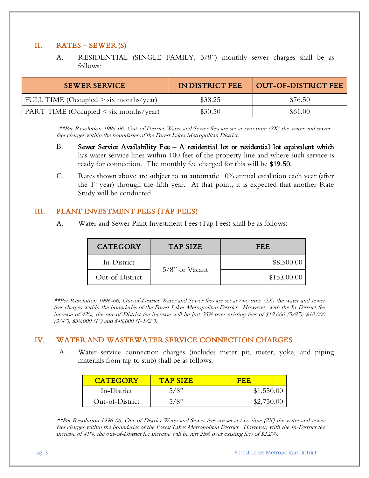## II. RATES – SEWER (S)

A. RESIDENTIAL (SINGLE FAMILY, 5/8") monthly sewer charges shall be as follows:

| <b>SEWER SERVICE</b>                        | IN DISTRICT FEE | OUT-OF-DISTRICT FEE |
|---------------------------------------------|-----------------|---------------------|
| FULL TIME (Occupied $>$ six months/year)    | \$38.25         | \$76.50             |
| PART TIME (Occupied $\leq$ six months/year) | \$30.50         | \$61.00             |

\*\*Per Resolution 1996-06, Out-of-District Water and Sewer fees are set at two time (2X) the water and sewer fees charges within the boundaries of the Forest Lakes Metropolitan District.

- B. Sewer Service Availability Fee  $-$  A residential lot or residential lot equivalent which has water service lines within 100 feet of the property line and where such service is ready for connection. The monthly fee charged for this will be \$19.50.
- C. Rates shown above are subject to an automatic 10% annual escalation each year (after the  $1<sup>st</sup>$  year) through the fifth year. At that point, it is expected that another Rate Study will be conducted.

#### III. PLANT INVESTMENT FEES (TAP FEES)

A. Water and Sewer Plant Investment Fees (Tap Fees) shall be as follows:

| <b>CATEGORY</b> | TAP SIZE          | FEE         |
|-----------------|-------------------|-------------|
| In-District     | $5/8$ " or Vacant | \$8,500.00  |
| Out-of-District |                   | \$15,000.00 |

\*\*Per Resolution 1996-06, Out-of-District Water and Sewer fees are set at two time (2X) the water and sewer fees charges within the boundaries of the Forest Lakes Metropolitan District. However, with the In-District fee increase of 42%, the out-of-District fee increase will be just 25% over existing fees of \$12,000 (5/8"), \$18,000  $(3/4'')$ , \$30,000  $(1'')$  and \$48,000  $(1-1/2'')$ .

## IV. WATER AND WASTEWATER SERVICE CONNECTION CHARGES

A. Water service connection charges (includes meter pit, meter, yoke, and piping materials from tap to stub) shall be as follows:

| <b>CATEGORY</b> | <b>TAP SIZE</b> | FFF        |
|-----------------|-----------------|------------|
| In-District     | 5/8"            | \$1,550.00 |
| Out-of-District | 5/8"            | \$2,750.00 |

\*\*Per Resolution 1996-06, Out-of-District Water and Sewer fees are set at two time (2X) the water and sewer fees charges within the boundaries of the Forest Lakes Metropolitan District. However, with the In-District fee increase of 41%, the out-of-District fee increase will be just 25% over existing fees of \$2,200.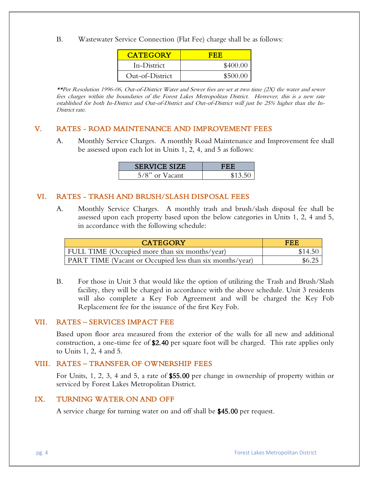B. Wastewater Service Connection (Flat Fee) charge shall be as follows:

| <b>CATEGORY</b> | FER      |
|-----------------|----------|
| In-District     | \$400.00 |
| Out-of-District | \$500.00 |

\*\*Per Resolution 1996-06, Out-of-District Water and Sewer fees are set at two time (2X) the water and sewer fees charges within the boundaries of the Forest Lakes Metropolitan District. However, this is a new rate established for both In-District and Out-of-District and Out-of-District will just be 25% higher than the In-District rate.

#### V. RATES - ROAD MAINTENANCE AND IMPROVEMENT FEES

A. Monthly Service Charges. A monthly Road Maintenance and Improvement fee shall be assessed upon each lot in Units 1, 2, 4, and 5 as follows:

| <b>SERVICE SIZE</b> | EBB     |
|---------------------|---------|
| $5/8$ " or Vacant   | \$13.50 |

#### VI. RATES - TRASH AND BRUSH/SLASH DISPOSAL FEES

A. Monthly Service Charges. A monthly trash and brush/slash disposal fee shall be assessed upon each property based upon the below categories in Units 1, 2, 4 and 5, in accordance with the following schedule:

| <b>CATEGORY</b>                                                 | EER     |
|-----------------------------------------------------------------|---------|
| <b>FULL TIME</b> (Occupied more than six months/year)           | \$14.50 |
| <b>PART TIME</b> (Vacant or Occupied less than six months/year) | \$6.25  |

B. For those in Unit 3 that would like the option of utilizing the Trash and Brush/Slash facility, they will be charged in accordance with the above schedule. Unit 3 residents will also complete a Key Fob Agreement and will be charged the Key Fob Replacement fee for the issuance of the first Key Fob.

#### VII. RATES – SERVICES IMPACT FEE

Based upon floor area measured from the exterior of the walls for all new and additional construction, a one-time fee of \$2.40 per square foot will be charged. This rate applies only to Units 1, 2, 4 and 5.

## VIII. RATES – TRANSFER OF OWNERSHIP FEES

For Units, 1, 2, 3, 4 and 5, a rate of \$55.00 per change in ownership of property within or serviced by Forest Lakes Metropolitan District.

#### IX. TURNING WATER ON AND OFF

A service charge for turning water on and off shall be \$45.00 per request.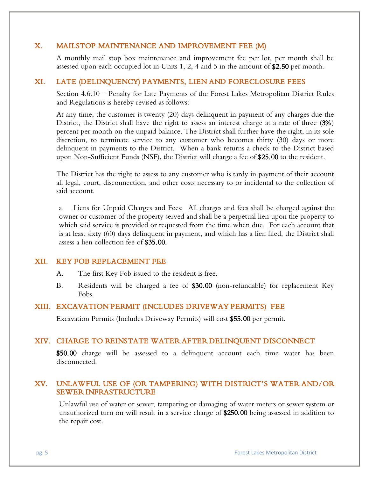#### X. MAILSTOP MAINTENANCE AND IMPROVEMENT FEE (M)

A monthly mail stop box maintenance and improvement fee per lot, per month shall be assessed upon each occupied lot in Units 1, 2, 4 and 5 in the amount of  $$2.50$  per month.

#### XI. LATE (DELINQUENCY) PAYMENTS, LIEN AND FORECLOSURE FEES

Section 4.6.10 – Penalty for Late Payments of the Forest Lakes Metropolitan District Rules and Regulations is hereby revised as follows:

At any time, the customer is twenty (20) days delinquent in payment of any charges due the District, the District shall have the right to assess an interest charge at a rate of three (3%) percent per month on the unpaid balance. The District shall further have the right, in its sole discretion, to terminate service to any customer who becomes thirty (30) days or more delinquent in payments to the District. When a bank returns a check to the District based upon Non-Sufficient Funds (NSF), the District will charge a fee of \$25.00 to the resident.

The District has the right to assess to any customer who is tardy in payment of their account all legal, court, disconnection, and other costs necessary to or incidental to the collection of said account.

a. Liens for Unpaid Charges and Fees: All charges and fees shall be charged against the owner or customer of the property served and shall be a perpetual lien upon the property to which said service is provided or requested from the time when due. For each account that is at least sixty (60) days delinquent in payment, and which has a lien filed, the District shall assess a lien collection fee of \$35.00.

#### XII. KEY FOB REPLACEMENT FEE

A. The first Key Fob issued to the resident is free.

B. Residents will be charged a fee of \$30.00 (non-refundable) for replacement Key Fobs.

#### XIII. EXCAVATION PERMIT (INCLUDES DRIVEWAY PERMITS) FEE

Excavation Permits (Includes Driveway Permits) will cost \$55.00 per permit.

#### XIV. CHARGE TO REINSTATE WATER AFTER DELINQUENT DISCONNECT

\$50.00 charge will be assessed to a delinquent account each time water has been disconnected.

## XV. UNLAWFUL USE OF (OR TAMPERING) WITH DISTRICT'S WATER AND/OR SEWER INFRASTRUCTURE

Unlawful use of water or sewer, tampering or damaging of water meters or sewer system or unauthorized turn on will result in a service charge of \$250.00 being assessed in addition to the repair cost.